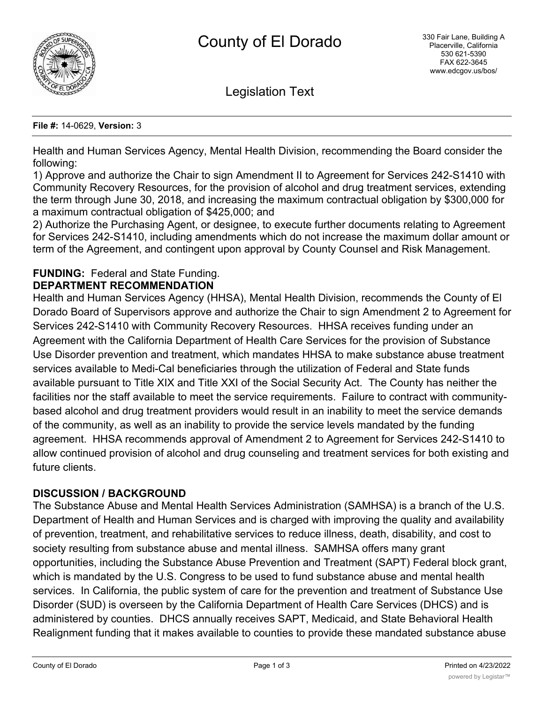

Legislation Text

#### **File #:** 14-0629, **Version:** 3

Health and Human Services Agency, Mental Health Division, recommending the Board consider the following:

1) Approve and authorize the Chair to sign Amendment II to Agreement for Services 242-S1410 with Community Recovery Resources, for the provision of alcohol and drug treatment services, extending the term through June 30, 2018, and increasing the maximum contractual obligation by \$300,000 for a maximum contractual obligation of \$425,000; and

2) Authorize the Purchasing Agent, or designee, to execute further documents relating to Agreement for Services 242-S1410, including amendments which do not increase the maximum dollar amount or term of the Agreement, and contingent upon approval by County Counsel and Risk Management.

#### **FUNDING:** Federal and State Funding. **DEPARTMENT RECOMMENDATION**

Health and Human Services Agency (HHSA), Mental Health Division, recommends the County of El Dorado Board of Supervisors approve and authorize the Chair to sign Amendment 2 to Agreement for Services 242-S1410 with Community Recovery Resources. HHSA receives funding under an Agreement with the California Department of Health Care Services for the provision of Substance Use Disorder prevention and treatment, which mandates HHSA to make substance abuse treatment services available to Medi-Cal beneficiaries through the utilization of Federal and State funds available pursuant to Title XIX and Title XXI of the Social Security Act. The County has neither the facilities nor the staff available to meet the service requirements. Failure to contract with communitybased alcohol and drug treatment providers would result in an inability to meet the service demands of the community, as well as an inability to provide the service levels mandated by the funding agreement. HHSA recommends approval of Amendment 2 to Agreement for Services 242-S1410 to allow continued provision of alcohol and drug counseling and treatment services for both existing and future clients.

### **DISCUSSION / BACKGROUND**

The Substance Abuse and Mental Health Services Administration (SAMHSA) is a branch of the U.S. Department of Health and Human Services and is charged with improving the quality and availability of prevention, treatment, and rehabilitative services to reduce illness, death, disability, and cost to society resulting from substance abuse and mental illness. SAMHSA offers many grant opportunities, including the Substance Abuse Prevention and Treatment (SAPT) Federal block grant, which is mandated by the U.S. Congress to be used to fund substance abuse and mental health services. In California, the public system of care for the prevention and treatment of Substance Use Disorder (SUD) is overseen by the California Department of Health Care Services (DHCS) and is administered by counties. DHCS annually receives SAPT, Medicaid, and State Behavioral Health Realignment funding that it makes available to counties to provide these mandated substance abuse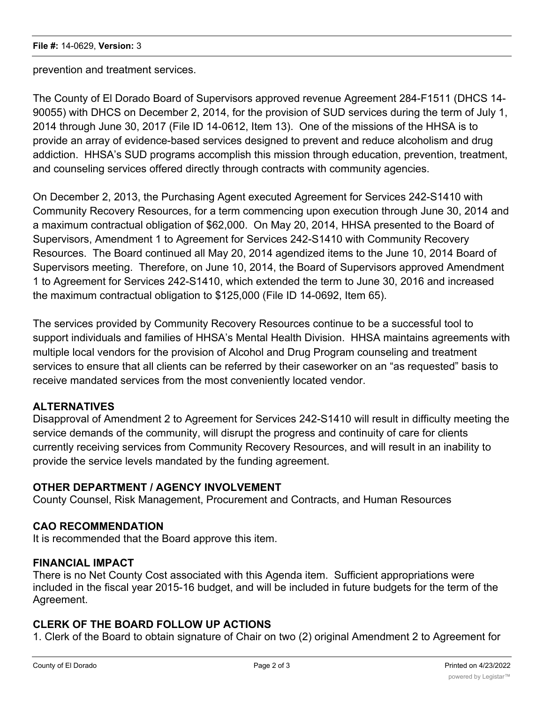prevention and treatment services.

The County of El Dorado Board of Supervisors approved revenue Agreement 284-F1511 (DHCS 14- 90055) with DHCS on December 2, 2014, for the provision of SUD services during the term of July 1, 2014 through June 30, 2017 (File ID 14-0612, Item 13). One of the missions of the HHSA is to provide an array of evidence-based services designed to prevent and reduce alcoholism and drug addiction. HHSA's SUD programs accomplish this mission through education, prevention, treatment, and counseling services offered directly through contracts with community agencies.

On December 2, 2013, the Purchasing Agent executed Agreement for Services 242-S1410 with Community Recovery Resources, for a term commencing upon execution through June 30, 2014 and a maximum contractual obligation of \$62,000. On May 20, 2014, HHSA presented to the Board of Supervisors, Amendment 1 to Agreement for Services 242-S1410 with Community Recovery Resources. The Board continued all May 20, 2014 agendized items to the June 10, 2014 Board of Supervisors meeting. Therefore, on June 10, 2014, the Board of Supervisors approved Amendment 1 to Agreement for Services 242-S1410, which extended the term to June 30, 2016 and increased the maximum contractual obligation to \$125,000 (File ID 14-0692, Item 65).

The services provided by Community Recovery Resources continue to be a successful tool to support individuals and families of HHSA's Mental Health Division. HHSA maintains agreements with multiple local vendors for the provision of Alcohol and Drug Program counseling and treatment services to ensure that all clients can be referred by their caseworker on an "as requested" basis to receive mandated services from the most conveniently located vendor.

# **ALTERNATIVES**

Disapproval of Amendment 2 to Agreement for Services 242-S1410 will result in difficulty meeting the service demands of the community, will disrupt the progress and continuity of care for clients currently receiving services from Community Recovery Resources, and will result in an inability to provide the service levels mandated by the funding agreement.

### **OTHER DEPARTMENT / AGENCY INVOLVEMENT**

County Counsel, Risk Management, Procurement and Contracts, and Human Resources

### **CAO RECOMMENDATION**

It is recommended that the Board approve this item.

### **FINANCIAL IMPACT**

There is no Net County Cost associated with this Agenda item. Sufficient appropriations were included in the fiscal year 2015-16 budget, and will be included in future budgets for the term of the Agreement.

### **CLERK OF THE BOARD FOLLOW UP ACTIONS**

1. Clerk of the Board to obtain signature of Chair on two (2) original Amendment 2 to Agreement for